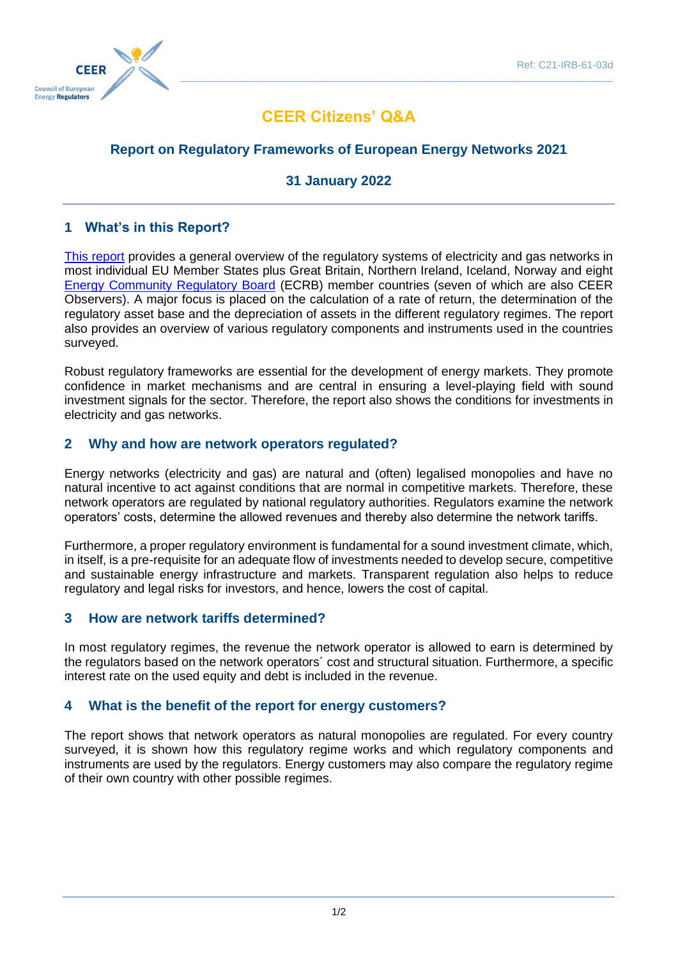

# **CEER Citizens' Q&A**

## **Report on Regulatory Frameworks of European Energy Networks 2021**

## **31 January 2022**

## **1 What's in this Report?**

[This report](https://www.ceer.eu/2210) provides a general overview of the regulatory systems of electricity and gas networks in most individual EU Member States plus Great Britain, Northern Ireland, Iceland, Norway and eight [Energy Community Regulatory Board](https://energy-community.org/aboutus/institutions/ECRB.html) (ECRB) member countries (seven of which are also CEER Observers). A major focus is placed on the calculation of a rate of return, the determination of the regulatory asset base and the depreciation of assets in the different regulatory regimes. The report also provides an overview of various regulatory components and instruments used in the countries surveyed.

Robust regulatory frameworks are essential for the development of energy markets. They promote confidence in market mechanisms and are central in ensuring a level-playing field with sound investment signals for the sector. Therefore, the report also shows the conditions for investments in electricity and gas networks.

#### **2 Why and how are network operators regulated?**

Energy networks (electricity and gas) are natural and (often) legalised monopolies and have no natural incentive to act against conditions that are normal in competitive markets. Therefore, these network operators are regulated by national regulatory authorities. Regulators examine the network operators' costs, determine the allowed revenues and thereby also determine the network tariffs.

Furthermore, a proper regulatory environment is fundamental for a sound investment climate, which, in itself, is a pre-requisite for an adequate flow of investments needed to develop secure, competitive and sustainable energy infrastructure and markets. Transparent regulation also helps to reduce regulatory and legal risks for investors, and hence, lowers the cost of capital.

#### **3 How are network tariffs determined?**

In most regulatory regimes, the revenue the network operator is allowed to earn is determined by the regulators based on the network operators´ cost and structural situation. Furthermore, a specific interest rate on the used equity and debt is included in the revenue.

#### **4 What is the benefit of the report for energy customers?**

The report shows that network operators as natural monopolies are regulated. For every country surveyed, it is shown how this regulatory regime works and which regulatory components and instruments are used by the regulators. Energy customers may also compare the regulatory regime of their own country with other possible regimes.